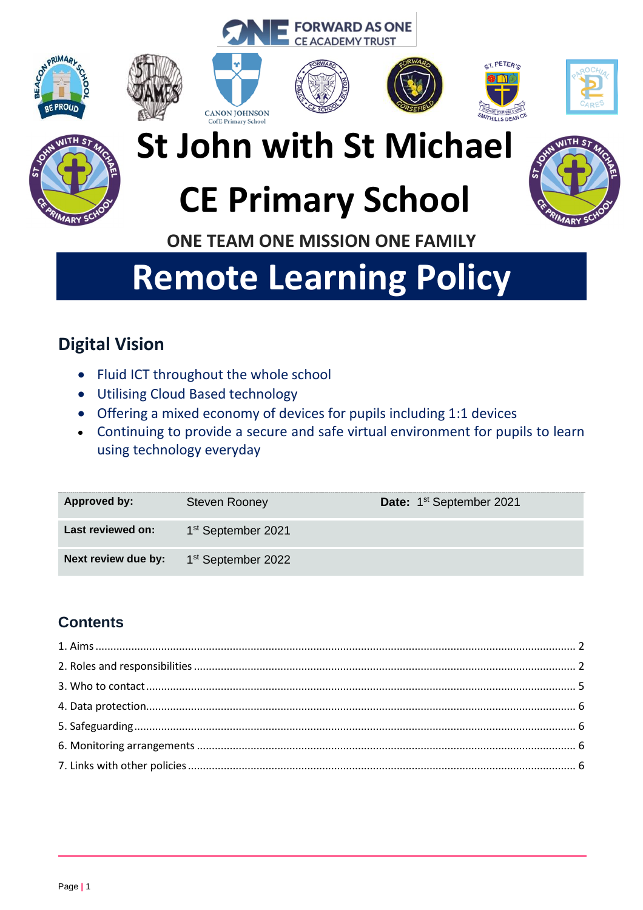







**FORWARD AS ONE CE ACADEMY TRUST** 









# **St John with St Michael**

# **CE Primary School**



**ONE TEAM ONE MISSION ONE FAMILY**

# **Remote Learning Policy**

# **Digital Vision**

- Fluid ICT throughout the whole school
- Utilising Cloud Based technology
- Offering a mixed economy of devices for pupils including 1:1 devices
- Continuing to provide a secure and safe virtual environment for pupils to learn using technology everyday

| Approved by:        | <b>Steven Rooney</b>           | Date: 1 <sup>st</sup> September 2021 |
|---------------------|--------------------------------|--------------------------------------|
| Last reviewed on:   | 1 <sup>st</sup> September 2021 |                                      |
| Next review due by: | 1 <sup>st</sup> September 2022 |                                      |

# **Contents**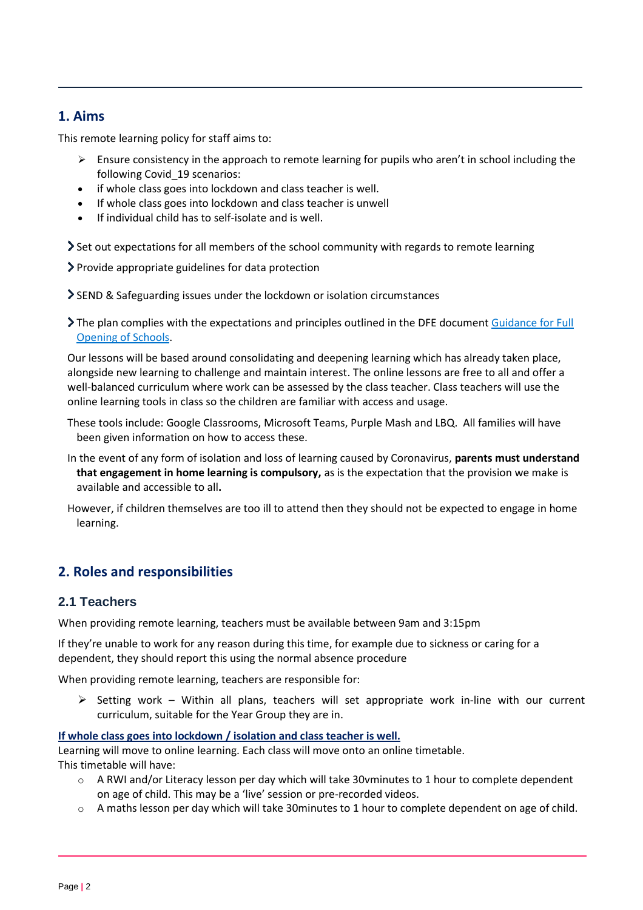## <span id="page-1-0"></span>**1. Aims**

This remote learning policy for staff aims to:

- $\triangleright$  Ensure consistency in the approach to remote learning for pupils who aren't in school including the following Covid\_19 scenarios:
- if whole class goes into lockdown and class teacher is well.
- If whole class goes into lockdown and class teacher is unwell
- If individual child has to self-isolate and is well.

Set out expectations for all members of the school community with regards to remote learning

Provide appropriate guidelines for data protection

SEND & Safeguarding issues under the lockdown or isolation circumstances

The plan complies with the expectations and principles outlined in the DFE documen[t Guidance for Full](https://www.gov.uk/government/publications/actions-for-schools-during-the-coronavirus-outbreak/guidance-for-full-opening-schools#res)  [Opening of Schools.](https://www.gov.uk/government/publications/actions-for-schools-during-the-coronavirus-outbreak/guidance-for-full-opening-schools#res)

Our lessons will be based around consolidating and deepening learning which has already taken place, alongside new learning to challenge and maintain interest. The online lessons are free to all and offer a well-balanced curriculum where work can be assessed by the class teacher. Class teachers will use the online learning tools in class so the children are familiar with access and usage.

- These tools include: Google Classrooms, Microsoft Teams, Purple Mash and LBQ. All families will have been given information on how to access these.
- In the event of any form of isolation and loss of learning caused by Coronavirus, **parents must understand that engagement in home learning is compulsory,** as is the expectation that the provision we make is available and accessible to all**.**
- However, if children themselves are too ill to attend then they should not be expected to engage in home learning.

# <span id="page-1-1"></span>**2. Roles and responsibilities**

### **2.1 Teachers**

When providing remote learning, teachers must be available between 9am and 3:15pm

If they're unable to work for any reason during this time, for example due to sickness or caring for a dependent, they should report this using the normal absence procedure

When providing remote learning, teachers are responsible for:

 $\triangleright$  Setting work – Within all plans, teachers will set appropriate work in-line with our current curriculum, suitable for the Year Group they are in.

#### **If whole class goes into lockdown / isolation and class teacher is well.**

Learning will move to online learning. Each class will move onto an online timetable.

This timetable will have:

- o A RWI and/or Literacy lesson per day which will take 30vminutes to 1 hour to complete dependent on age of child. This may be a 'live' session or pre-recorded videos.
- $\circ$  A maths lesson per day which will take 30minutes to 1 hour to complete dependent on age of child.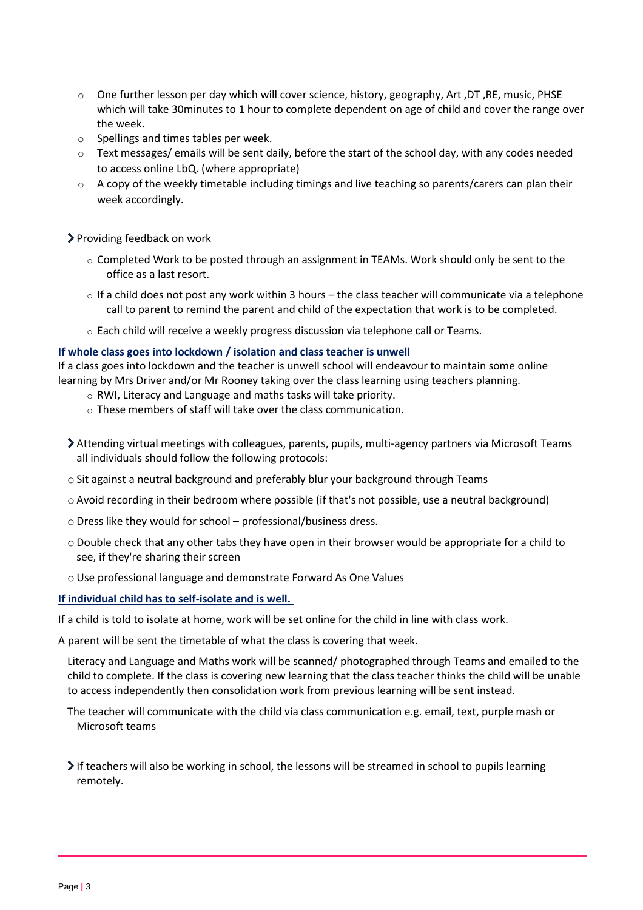- o One further lesson per day which will cover science, history, geography, Art ,DT ,RE, music, PHSE which will take 30minutes to 1 hour to complete dependent on age of child and cover the range over the week.
- o Spellings and times tables per week.
- $\circ$  Text messages/ emails will be sent daily, before the start of the school day, with any codes needed to access online LbQ. (where appropriate)
- $\circ$  A copy of the weekly timetable including timings and live teaching so parents/carers can plan their week accordingly.

Providing feedback on work

- $\circ$  Completed Work to be posted through an assignment in TEAMs. Work should only be sent to the office as a last resort.
- $\circ$  If a child does not post any work within 3 hours the class teacher will communicate via a telephone call to parent to remind the parent and child of the expectation that work is to be completed.
- $\circ$  Each child will receive a weekly progress discussion via telephone call or Teams.

#### **If whole class goes into lockdown / isolation and class teacher is unwell**

If a class goes into lockdown and the teacher is unwell school will endeavour to maintain some online learning by Mrs Driver and/or Mr Rooney taking over the class learning using teachers planning.

- o RWI, Literacy and Language and maths tasks will take priority.
- $\circ$  These members of staff will take over the class communication.
- Attending virtual meetings with colleagues, parents, pupils, multi-agency partners via Microsoft Teams all individuals should follow the following protocols:
- $\circ$  Sit against a neutral background and preferably blur your background through Teams
- o Avoid recording in their bedroom where possible (if that's not possible, use a neutral background)
- o Dress like they would for school professional/business dress.
- o Double check that any other tabs they have open in their browser would be appropriate for a child to see, if they're sharing their screen
- o Use professional language and demonstrate Forward As One Values

#### **If individual child has to self-isolate and is well.**

If a child is told to isolate at home, work will be set online for the child in line with class work.

A parent will be sent the timetable of what the class is covering that week.

Literacy and Language and Maths work will be scanned/ photographed through Teams and emailed to the child to complete. If the class is covering new learning that the class teacher thinks the child will be unable to access independently then consolidation work from previous learning will be sent instead.

The teacher will communicate with the child via class communication e.g. email, text, purple mash or Microsoft teams

If teachers will also be working in school, the lessons will be streamed in school to pupils learning remotely.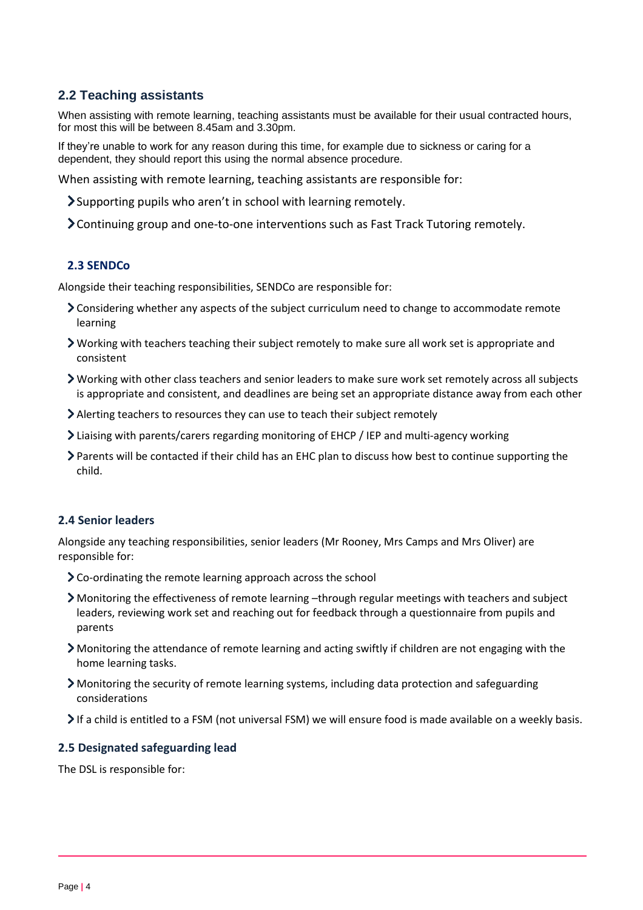## **2.2 Teaching assistants**

When assisting with remote learning, teaching assistants must be available for their usual contracted hours, for most this will be between 8.45am and 3.30pm.

If they're unable to work for any reason during this time, for example due to sickness or caring for a dependent, they should report this using the normal absence procedure.

When assisting with remote learning, teaching assistants are responsible for:

Supporting pupils who aren't in school with learning remotely.

Continuing group and one-to-one interventions such as Fast Track Tutoring remotely.

#### **2.3 SENDCo**

Alongside their teaching responsibilities, SENDCo are responsible for:

- Considering whether any aspects of the subject curriculum need to change to accommodate remote learning
- Working with teachers teaching their subject remotely to make sure all work set is appropriate and consistent
- Working with other class teachers and senior leaders to make sure work set remotely across all subjects is appropriate and consistent, and deadlines are being set an appropriate distance away from each other
- Alerting teachers to resources they can use to teach their subject remotely
- Liaising with parents/carers regarding monitoring of EHCP / IEP and multi-agency working
- Parents will be contacted if their child has an EHC plan to discuss how best to continue supporting the child.

#### **2.4 Senior leaders**

Alongside any teaching responsibilities, senior leaders (Mr Rooney, Mrs Camps and Mrs Oliver) are responsible for:

- Co-ordinating the remote learning approach across the school
- Monitoring the effectiveness of remote learning –through regular meetings with teachers and subject leaders, reviewing work set and reaching out for feedback through a questionnaire from pupils and parents
- Monitoring the attendance of remote learning and acting swiftly if children are not engaging with the home learning tasks.
- Monitoring the security of remote learning systems, including data protection and safeguarding considerations
- If a child is entitled to a FSM (not universal FSM) we will ensure food is made available on a weekly basis.

#### **2.5 Designated safeguarding lead**

The DSL is responsible for: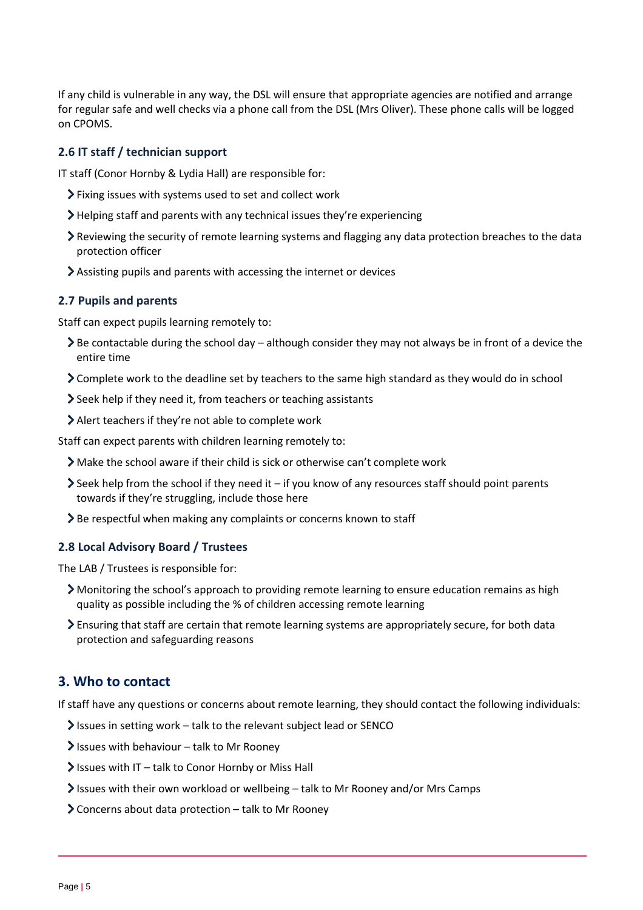If any child is vulnerable in any way, the DSL will ensure that appropriate agencies are notified and arrange for regular safe and well checks via a phone call from the DSL (Mrs Oliver). These phone calls will be logged on CPOMS.

#### **2.6 IT staff / technician support**

IT staff (Conor Hornby & Lydia Hall) are responsible for:

- Fixing issues with systems used to set and collect work
- Helping staff and parents with any technical issues they're experiencing
- Reviewing the security of remote learning systems and flagging any data protection breaches to the data protection officer
- Assisting pupils and parents with accessing the internet or devices

#### **2.7 Pupils and parents**

Staff can expect pupils learning remotely to:

- Be contactable during the school day although consider they may not always be in front of a device the entire time
- Complete work to the deadline set by teachers to the same high standard as they would do in school
- Seek help if they need it, from teachers or teaching assistants
- Alert teachers if they're not able to complete work

Staff can expect parents with children learning remotely to:

- Make the school aware if their child is sick or otherwise can't complete work
- $\ge$  Seek help from the school if they need it if you know of any resources staff should point parents towards if they're struggling, include those here
- Sole respectful when making any complaints or concerns known to staff

#### **2.8 Local Advisory Board / Trustees**

The LAB / Trustees is responsible for:

- Monitoring the school's approach to providing remote learning to ensure education remains as high quality as possible including the % of children accessing remote learning
- Ensuring that staff are certain that remote learning systems are appropriately secure, for both data protection and safeguarding reasons

# <span id="page-4-0"></span>**3. Who to contact**

If staff have any questions or concerns about remote learning, they should contact the following individuals:

- $\blacktriangleright$  Issues in setting work talk to the relevant subject lead or SENCO
- $\blacktriangleright$  Issues with behaviour talk to Mr Rooney
- $\blacktriangleright$  Issues with IT talk to Conor Hornby or Miss Hall
- Issues with their own workload or wellbeing talk to Mr Rooney and/or Mrs Camps
- Concerns about data protection talk to Mr Rooney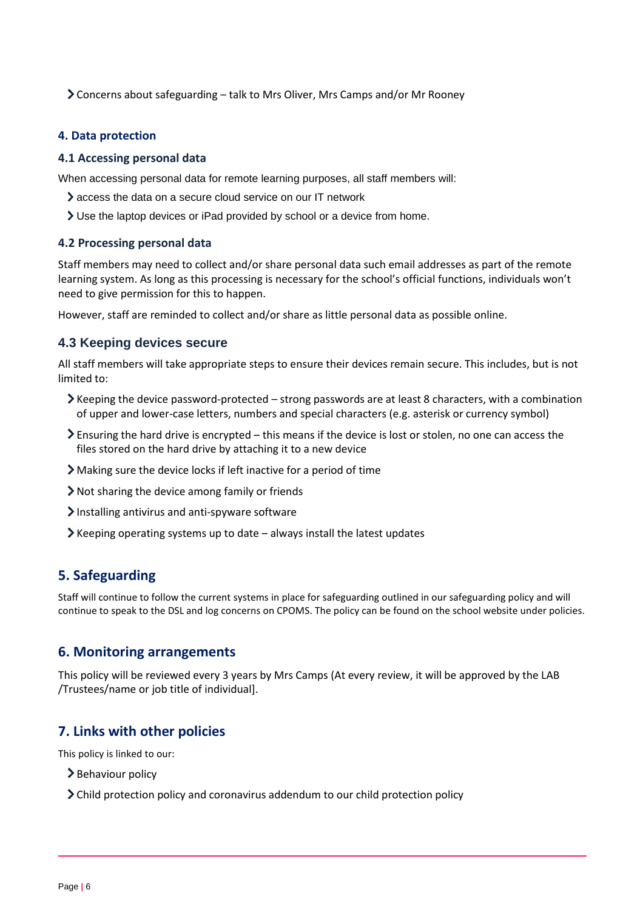Concerns about safeguarding – talk to Mrs Oliver, Mrs Camps and/or Mr Rooney

#### <span id="page-5-0"></span>**4. Data protection**

#### **4.1 Accessing personal data**

When accessing personal data for remote learning purposes, all staff members will:

- access the data on a secure cloud service on our IT network
- Use the laptop devices or iPad provided by school or a device from home.

#### **4.2 Processing personal data**

Staff members may need to collect and/or share personal data such email addresses as part of the remote learning system. As long as this processing is necessary for the school's official functions, individuals won't need to give permission for this to happen.

However, staff are reminded to collect and/or share as little personal data as possible online.

#### **4.3 Keeping devices secure**

All staff members will take appropriate steps to ensure their devices remain secure. This includes, but is not limited to:

- $\blacktriangleright$  Keeping the device password-protected strong passwords are at least 8 characters, with a combination of upper and lower-case letters, numbers and special characters (e.g. asterisk or currency symbol)
- $\geq$  Ensuring the hard drive is encrypted this means if the device is lost or stolen, no one can access the files stored on the hard drive by attaching it to a new device
- Making sure the device locks if left inactive for a period of time
- Not sharing the device among family or friends
- Installing antivirus and anti-spyware software
- $\blacktriangleright$  Keeping operating systems up to date always install the latest updates

## <span id="page-5-1"></span>**5. Safeguarding**

Staff will continue to follow the current systems in place for safeguarding outlined in our safeguarding policy and will continue to speak to the DSL and log concerns on CPOMS. The policy can be found on the school website under policies.

#### <span id="page-5-2"></span>**6. Monitoring arrangements**

This policy will be reviewed every 3 years by Mrs Camps (At every review, it will be approved by the LAB /Trustees/name or job title of individual].

### <span id="page-5-3"></span>**7. Links with other policies**

This policy is linked to our:

- > Behaviour policy
- Child protection policy and coronavirus addendum to our child protection policy